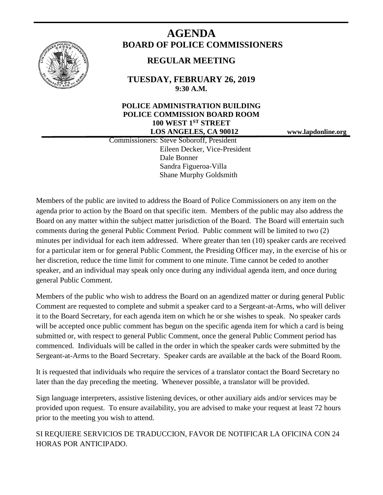

# **AGENDA BOARD OF POLICE COMMISSIONERS**

# **REGULAR MEETING**

**TUESDAY, FEBRUARY 26, 2019 9:30 A.M.**

# **POLICE ADMINISTRATION BUILDING POLICE COMMISSION BOARD ROOM 100 WEST 1ST STREET LOS ANGELES, CA 90012 www.lapdonline.org**

 Commissioners: Steve Soboroff, President Eileen Decker, Vice-President Dale Bonner Sandra Figueroa-Villa Shane Murphy Goldsmith

Members of the public are invited to address the Board of Police Commissioners on any item on the agenda prior to action by the Board on that specific item. Members of the public may also address the Board on any matter within the subject matter jurisdiction of the Board. The Board will entertain such comments during the general Public Comment Period. Public comment will be limited to two (2) minutes per individual for each item addressed. Where greater than ten (10) speaker cards are received for a particular item or for general Public Comment, the Presiding Officer may, in the exercise of his or her discretion, reduce the time limit for comment to one minute. Time cannot be ceded to another speaker, and an individual may speak only once during any individual agenda item, and once during general Public Comment.

Members of the public who wish to address the Board on an agendized matter or during general Public Comment are requested to complete and submit a speaker card to a Sergeant-at-Arms, who will deliver it to the Board Secretary, for each agenda item on which he or she wishes to speak. No speaker cards will be accepted once public comment has begun on the specific agenda item for which a card is being submitted or, with respect to general Public Comment, once the general Public Comment period has commenced. Individuals will be called in the order in which the speaker cards were submitted by the Sergeant-at-Arms to the Board Secretary. Speaker cards are available at the back of the Board Room.

It is requested that individuals who require the services of a translator contact the Board Secretary no later than the day preceding the meeting. Whenever possible, a translator will be provided.

Sign language interpreters, assistive listening devices, or other auxiliary aids and/or services may be provided upon request. To ensure availability, you are advised to make your request at least 72 hours prior to the meeting you wish to attend.

SI REQUIERE SERVICIOS DE TRADUCCION, FAVOR DE NOTIFICAR LA OFICINA CON 24 HORAS POR ANTICIPADO.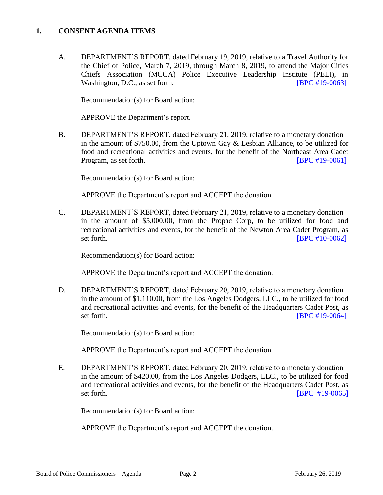#### **1. CONSENT AGENDA ITEMS**

A. DEPARTMENT'S REPORT, dated February 19, 2019, relative to a Travel Authority for the Chief of Police, March 7, 2019, through March 8, 2019, to attend the Major Cities Chiefs Association (MCCA) Police Executive Leadership Institute (PELI), in Washington, D.C., as set forth. [\[BPC #19-0063\]](http://www.lapdpolicecom.lacity.org/022619/BPC_19-0063.pdf)

Recommendation(s) for Board action:

APPROVE the Department's report.

B. DEPARTMENT'S REPORT, dated February 21, 2019, relative to a monetary donation in the amount of \$750.00, from the Uptown Gay & Lesbian Alliance, to be utilized for food and recreational activities and events, for the benefit of the Northeast Area Cadet Program, as set forth. **IDPC #19-0061** 

Recommendation(s) for Board action:

APPROVE the Department's report and ACCEPT the donation.

C. DEPARTMENT'S REPORT, dated February 21, 2019, relative to a monetary donation in the amount of \$5,000.00, from the Propac Corp, to be utilized for food and recreational activities and events, for the benefit of the Newton Area Cadet Program, as set forth. **IBPC #10-0062** 

Recommendation(s) for Board action:

APPROVE the Department's report and ACCEPT the donation.

D. DEPARTMENT'S REPORT, dated February 20, 2019, relative to a monetary donation in the amount of \$1,110.00, from the Los Angeles Dodgers, LLC., to be utilized for food and recreational activities and events, for the benefit of the Headquarters Cadet Post, as set forth. **IBPC #19-0064]** 

Recommendation(s) for Board action:

APPROVE the Department's report and ACCEPT the donation.

E. DEPARTMENT'S REPORT, dated February 20, 2019, relative to a monetary donation in the amount of \$420.00, from the Los Angeles Dodgers, LLC., to be utilized for food and recreational activities and events, for the benefit of the Headquarters Cadet Post, as set forth. **IBPC** #19-0065]

Recommendation(s) for Board action:

APPROVE the Department's report and ACCEPT the donation.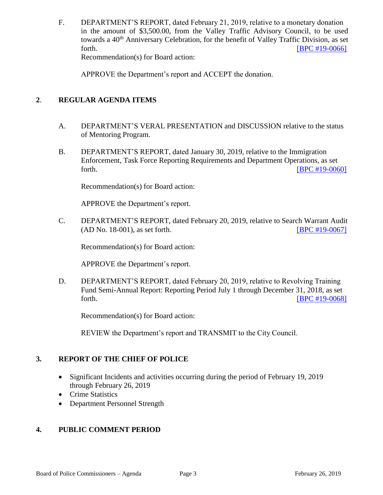F. DEPARTMENT'S REPORT, dated February 21, 2019, relative to a monetary donation in the amount of \$3,500.00, from the Valley Traffic Advisory Council, to be used towards a 40<sup>th</sup> Anniversary Celebration, for the benefit of Valley Traffic Division, as set forth. **[\[BPC #19-0066\]](http://www.lapdpolicecom.lacity.org/022619/BPC_19-0066.pdf)** Recommendation(s) for Board action:

APPROVE the Department's report and ACCEPT the donation.

## **2**. **REGULAR AGENDA ITEMS**

- A. DEPARTMENT'S VERAL PRESENTATION and DISCUSSION relative to the status of Mentoring Program.
- B. DEPARTMENT'S REPORT, dated January 30, 2019, relative to the Immigration Enforcement, Task Force Reporting Requirements and Department Operations, as set forth. **EXECUTE:** [\[BPC #19-0060\]](http://www.lapdpolicecom.lacity.org/022619/BPC_19-0060.pdf)

Recommendation(s) for Board action:

APPROVE the Department's report.

C. DEPARTMENT'S REPORT, dated February 20, 2019, relative to Search Warrant Audit (AD No. 18-001), as set forth. [\[BPC #19-0067\]](http://www.lapdpolicecom.lacity.org/022619/BPC_19-0067.pdf)

Recommendation(s) for Board action:

APPROVE the Department's report.

D. DEPARTMENT'S REPORT, dated February 20, 2019, relative to Revolving Training Fund Semi-Annual Report: Reporting Period July 1 through December 31, 2018, as set forth. **EXECUTE:** [\[BPC #19-0068\]](http://www.lapdpolicecom.lacity.org/022619/BPC_19-0068.pdf)

Recommendation(s) for Board action:

REVIEW the Department's report and TRANSMIT to the City Council.

## **3. REPORT OF THE CHIEF OF POLICE**

- Significant Incidents and activities occurring during the period of February 19, 2019 through February 26, 2019
- Crime Statistics
- Department Personnel Strength

## **4. PUBLIC COMMENT PERIOD**